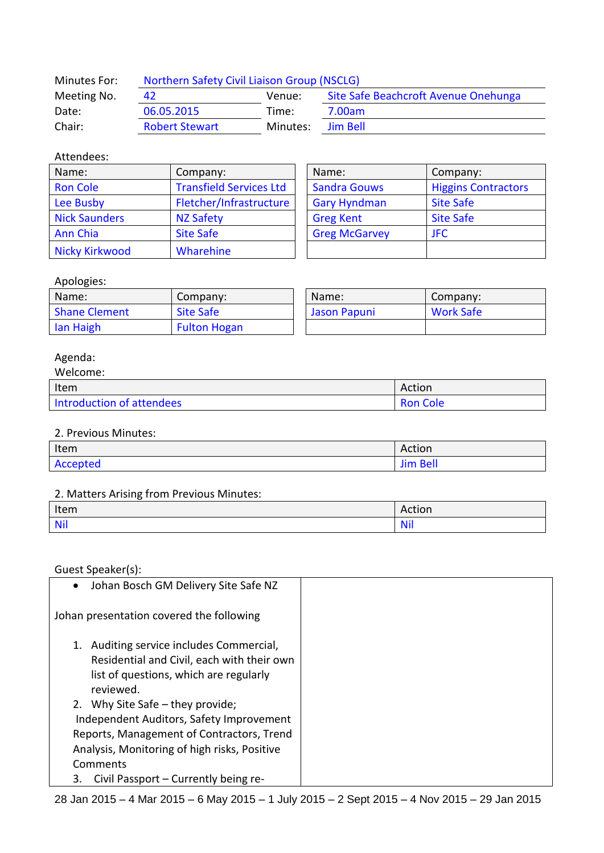| Minutes For: | Northern Safety Civil Liaison Group (NSCLG)          |          |          |  |
|--------------|------------------------------------------------------|----------|----------|--|
| Meeting No.  | Site Safe Beachcroft Avenue Onehunga<br>42<br>Venue: |          |          |  |
| Date:        | 06.05.2015                                           | Time:    | 7.00am   |  |
| Chair:       | <b>Robert Stewart</b>                                | Minutes: | Jim Bell |  |

## Attendees:

| Name:                | Company:                       | Name:                | Company:                   |
|----------------------|--------------------------------|----------------------|----------------------------|
| <b>Ron Cole</b>      | <b>Transfield Services Ltd</b> | <b>Sandra Gouws</b>  | <b>Higgins Contractors</b> |
| Lee Busby            | Fletcher/Infrastructure        | <b>Gary Hyndman</b>  | <b>Site Safe</b>           |
| <b>Nick Saunders</b> | <b>NZ Safety</b>               | <b>Greg Kent</b>     | <b>Site Safe</b>           |
| <b>Ann Chia</b>      | <b>Site Safe</b>               | <b>Greg McGarvey</b> | <b>JFC</b>                 |
| Nicky Kirkwood       | Wharehine                      |                      |                            |

| Name:                | Company:                   |  |
|----------------------|----------------------------|--|
| <b>Sandra Gouws</b>  | <b>Higgins Contractors</b> |  |
| <b>Gary Hyndman</b>  | <b>Site Safe</b>           |  |
| <b>Greg Kent</b>     | <b>Site Safe</b>           |  |
| <b>Greg McGarvey</b> | <b>IFC</b>                 |  |
|                      |                            |  |

## Apologies:

| Name:                | Company:            | Name:        | Company:         |
|----------------------|---------------------|--------------|------------------|
| <b>Shane Clement</b> | <b>Site Safe</b>    | Jason Papuni | <b>Work Safe</b> |
| lan Haigh            | <b>Fulton Hogan</b> |              |                  |

# Agenda:

| Welcome:                  |                 |
|---------------------------|-----------------|
| Item                      | Action          |
| Introduction of attendees | <b>Ron Cole</b> |

#### 2. Previous Minutes:

| Item     | Action          |
|----------|-----------------|
| Accepted | <b>Jim Bell</b> |

## 2. Matters Arising from Previous Minutes:

| Item       | min<br>ACLION |
|------------|---------------|
| <b>Nil</b> | <b>.</b>      |

Guest Speaker(s):

| Johan Bosch GM Delivery Site Safe NZ<br>$\bullet$ |  |
|---------------------------------------------------|--|
| Johan presentation covered the following          |  |
| 1. Auditing service includes Commercial,          |  |
| Residential and Civil, each with their own        |  |
| list of questions, which are regularly            |  |
| reviewed.                                         |  |
| 2. Why Site Safe - they provide;                  |  |
| Independent Auditors, Safety Improvement          |  |
| Reports, Management of Contractors, Trend         |  |
| Analysis, Monitoring of high risks, Positive      |  |
| Comments                                          |  |
| Civil Passport – Currently being re-<br>3.        |  |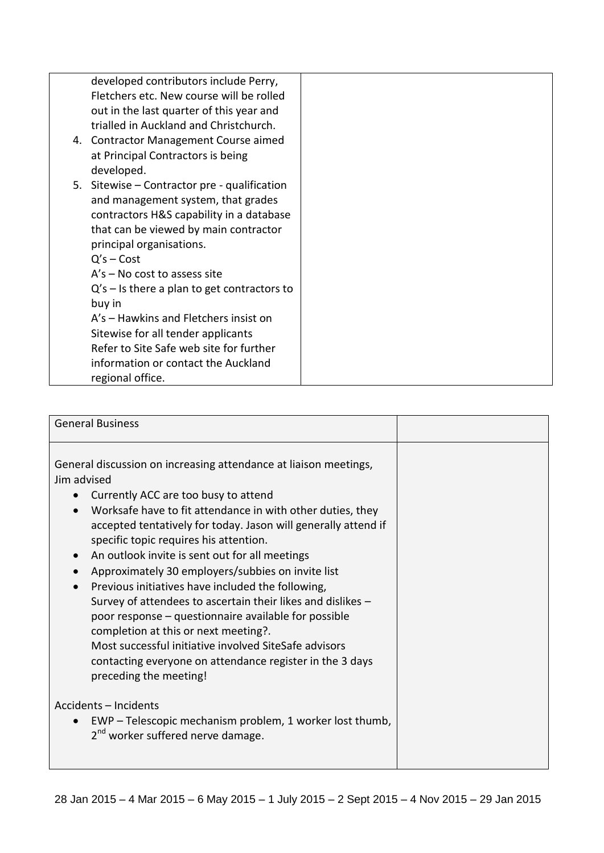| developed contributors include Perry,         |
|-----------------------------------------------|
| Fletchers etc. New course will be rolled      |
| out in the last quarter of this year and      |
| trialled in Auckland and Christchurch.        |
| 4. Contractor Management Course aimed         |
| at Principal Contractors is being             |
| developed.                                    |
| 5. Sitewise - Contractor pre - qualification  |
| and management system, that grades            |
| contractors H&S capability in a database      |
| that can be viewed by main contractor         |
| principal organisations.                      |
| $Q's - Cost$                                  |
| $A's - No cost to assess site$                |
| $Q's - Is$ there a plan to get contractors to |
| buy in                                        |
| A's - Hawkins and Fletchers insist on         |
| Sitewise for all tender applicants            |
| Refer to Site Safe web site for further       |
| information or contact the Auckland           |
| regional office.                              |
|                                               |

| <b>General Business</b>                                                                                                                                                                                                                                                                                                                                                                                                                                                                                                                                                                                                                                                                                                                                                                                                         |  |  |
|---------------------------------------------------------------------------------------------------------------------------------------------------------------------------------------------------------------------------------------------------------------------------------------------------------------------------------------------------------------------------------------------------------------------------------------------------------------------------------------------------------------------------------------------------------------------------------------------------------------------------------------------------------------------------------------------------------------------------------------------------------------------------------------------------------------------------------|--|--|
| General discussion on increasing attendance at liaison meetings,<br>Jim advised<br>Currently ACC are too busy to attend<br>$\bullet$<br>Worksafe have to fit attendance in with other duties, they<br>$\bullet$<br>accepted tentatively for today. Jason will generally attend if<br>specific topic requires his attention.<br>An outlook invite is sent out for all meetings<br>$\bullet$<br>Approximately 30 employers/subbies on invite list<br>$\bullet$<br>Previous initiatives have included the following,<br>Survey of attendees to ascertain their likes and dislikes -<br>poor response - questionnaire available for possible<br>completion at this or next meeting?.<br>Most successful initiative involved SiteSafe advisors<br>contacting everyone on attendance register in the 3 days<br>preceding the meeting! |  |  |
| Accidents - Incidents<br>EWP - Telescopic mechanism problem, 1 worker lost thumb,<br>2 <sup>nd</sup> worker suffered nerve damage.                                                                                                                                                                                                                                                                                                                                                                                                                                                                                                                                                                                                                                                                                              |  |  |